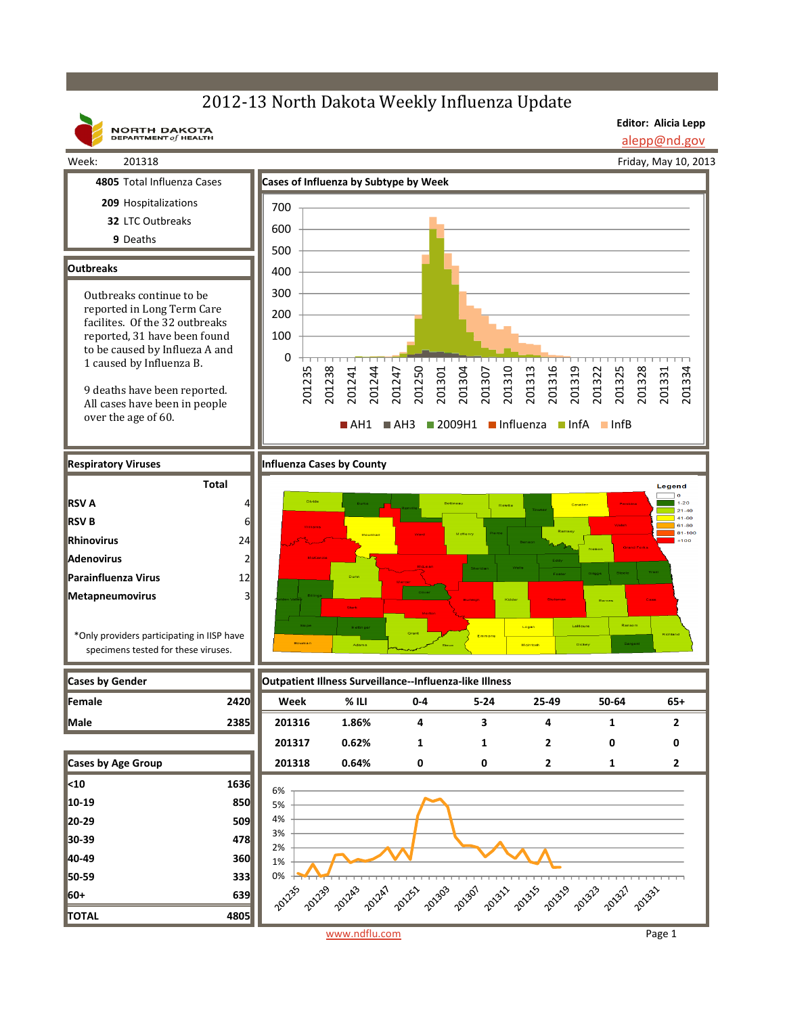## 2012-13 North Dakota Weekly Influenza Update



**Editor: Alicia Lepp** alepp@nd.gov